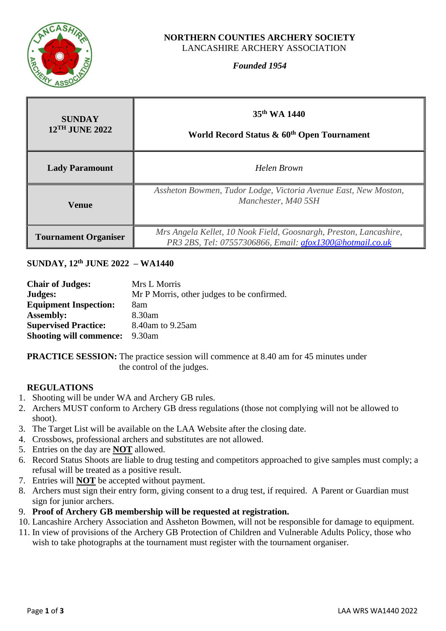

#### **NORTHERN COUNTIES ARCHERY SOCIETY** LANCASHIRE ARCHERY ASSOCIATION

# *Founded 1954*

| <b>SUNDAY</b><br>$12$ <sup>TH</sup> JUNE 2022 | 35 <sup>th</sup> WA 1440<br>World Record Status & 60 <sup>th</sup> Open Tournament                                            |  |
|-----------------------------------------------|-------------------------------------------------------------------------------------------------------------------------------|--|
| <b>Lady Paramount</b>                         | Helen Brown                                                                                                                   |  |
| <b>Venue</b>                                  | Assheton Bowmen, Tudor Lodge, Victoria Avenue East, New Moston,<br>Manchester, M40 5SH                                        |  |
| <b>Tournament Organiser</b>                   | Mrs Angela Kellet, 10 Nook Field, Goosnargh, Preston, Lancashire,<br>PR3 2BS, Tel: 07557306866, Email: afox1300@hotmail.co.uk |  |

# **SUNDAY, 12 th JUNE 2022 – WA1440**

| <b>Chair of Judges:</b>        | Mrs L Morris                               |
|--------------------------------|--------------------------------------------|
| Judges:                        | Mr P Morris, other judges to be confirmed. |
| <b>Equipment Inspection:</b>   | 8am                                        |
| <b>Assembly:</b>               | 8.30am                                     |
| <b>Supervised Practice:</b>    | 8.40am to 9.25am                           |
| <b>Shooting will commence:</b> | 9.30am                                     |

**PRACTICE SESSION:** The practice session will commence at 8.40 am for 45 minutes under the control of the judges.

#### **REGULATIONS**

- 1. Shooting will be under WA and Archery GB rules.
- 2. Archers MUST conform to Archery GB dress regulations (those not complying will not be allowed to shoot).
- 3. The Target List will be available on the LAA Website after the closing date.
- 4. Crossbows, professional archers and substitutes are not allowed.
- 5. Entries on the day are **NOT** allowed.
- 6. Record Status Shoots are liable to drug testing and competitors approached to give samples must comply; a refusal will be treated as a positive result.
- 7. Entries will **NOT** be accepted without payment.
- 8. Archers must sign their entry form, giving consent to a drug test, if required. A Parent or Guardian must sign for junior archers.
- 9. **Proof of Archery GB membership will be requested at registration.**
- 10. Lancashire Archery Association and Assheton Bowmen, will not be responsible for damage to equipment.
- 11. In view of provisions of the Archery GB Protection of Children and Vulnerable Adults Policy, those who wish to take photographs at the tournament must register with the tournament organiser.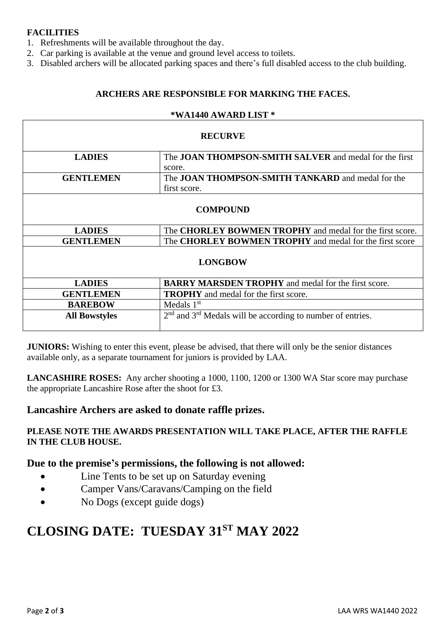# **FACILITIES**

- 1. Refreshments will be available throughout the day.
- 2. Car parking is available at the venue and ground level access to toilets.
- 3. Disabled archers will be allocated parking spaces and there's full disabled access to the club building.

## **ARCHERS ARE RESPONSIBLE FOR MARKING THE FACES.**

#### **\*WA1440 AWARD LIST \***

| <b>RECURVE</b>       |                                                                 |  |
|----------------------|-----------------------------------------------------------------|--|
| <b>LADIES</b>        | The <b>JOAN THOMPSON-SMITH SALVER</b> and medal for the first   |  |
|                      | score.                                                          |  |
| <b>GENTLEMEN</b>     | The <b>JOAN THOMPSON-SMITH TANKARD</b> and medal for the        |  |
|                      | first score.                                                    |  |
| <b>COMPOUND</b>      |                                                                 |  |
| <b>LADIES</b>        | The <b>CHORLEY BOWMEN TROPHY</b> and medal for the first score. |  |
| <b>GENTLEMEN</b>     | The <b>CHORLEY BOWMEN TROPHY</b> and medal for the first score  |  |
| <b>LONGBOW</b>       |                                                                 |  |
| <b>LADIES</b>        | <b>BARRY MARSDEN TROPHY</b> and medal for the first score.      |  |
| <b>GENTLEMEN</b>     | <b>TROPHY</b> and medal for the first score.                    |  |
| <b>BAREBOW</b>       | Medals $1st$                                                    |  |
| <b>All Bowstyles</b> | $2nd$ and $3rd$ Medals will be according to number of entries.  |  |

**JUNIORS:** Wishing to enter this event, please be advised, that there will only be the senior distances available only, as a separate tournament for juniors is provided by LAA.

**LANCASHIRE ROSES:** Any archer shooting a 1000, 1100, 1200 or 1300 WA Star score may purchase the appropriate Lancashire Rose after the shoot for £3.

# **Lancashire Archers are asked to donate raffle prizes.**

### **PLEASE NOTE THE AWARDS PRESENTATION WILL TAKE PLACE, AFTER THE RAFFLE IN THE CLUB HOUSE.**

# **Due to the premise's permissions, the following is not allowed:**

- Line Tents to be set up on Saturday evening
- Camper Vans/Caravans/Camping on the field
- No Dogs (except guide dogs)

# **CLOSING DATE: TUESDAY 31ST MAY 2022**